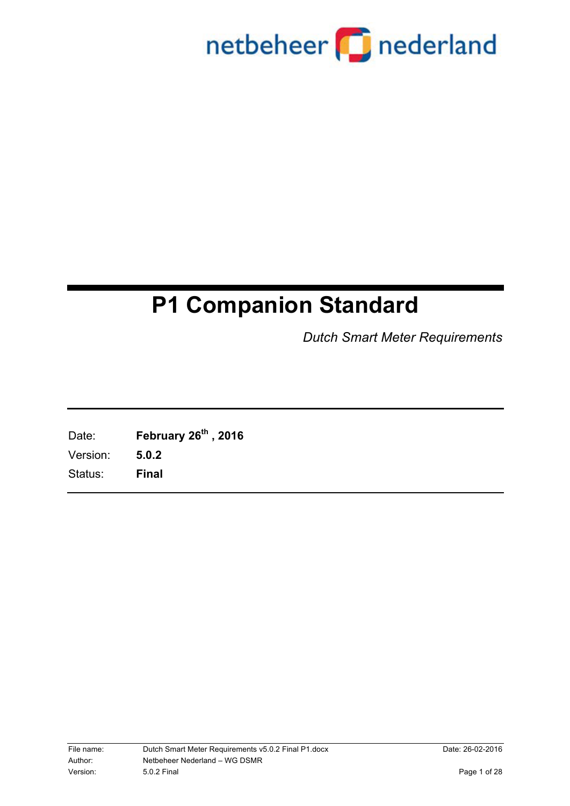

### **P1 Companion Standard**

*Dutch Smart Meter Requirements*

Date: **February 26th , 2016** Version: **5.0.2** Status: **Final**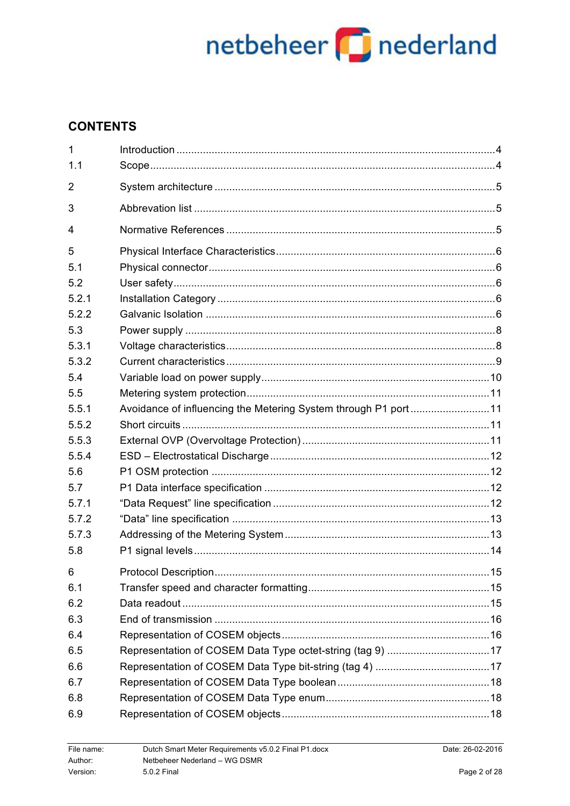### **CONTENTS**

| $\mathbf{1}$<br>1.1 |                                                                 |  |
|---------------------|-----------------------------------------------------------------|--|
| 2                   |                                                                 |  |
| 3                   |                                                                 |  |
| 4                   |                                                                 |  |
| 5                   |                                                                 |  |
| 5.1                 |                                                                 |  |
| 5.2                 |                                                                 |  |
| 5.2.1               |                                                                 |  |
| 5.2.2               |                                                                 |  |
| 5.3                 |                                                                 |  |
| 5.3.1               |                                                                 |  |
| 5.3.2               |                                                                 |  |
| 5.4                 |                                                                 |  |
| 5.5                 |                                                                 |  |
| 5.5.1               | Avoidance of influencing the Metering System through P1 port 11 |  |
| 5.5.2               |                                                                 |  |
| 5.5.3               |                                                                 |  |
| 5.5.4               |                                                                 |  |
| 5.6                 |                                                                 |  |
| 5.7                 |                                                                 |  |
| 5.7.1               |                                                                 |  |
| 5.7.2               |                                                                 |  |
| 5.7.3               |                                                                 |  |
| 5.8                 |                                                                 |  |
| 6 <sup>1</sup>      |                                                                 |  |
| 6.1                 |                                                                 |  |
| 6.2                 |                                                                 |  |
| 6.3                 |                                                                 |  |
| 6.4                 |                                                                 |  |
| 6.5                 |                                                                 |  |
| 6.6                 |                                                                 |  |
| 6.7                 |                                                                 |  |
| 6.8                 |                                                                 |  |
| 6.9                 |                                                                 |  |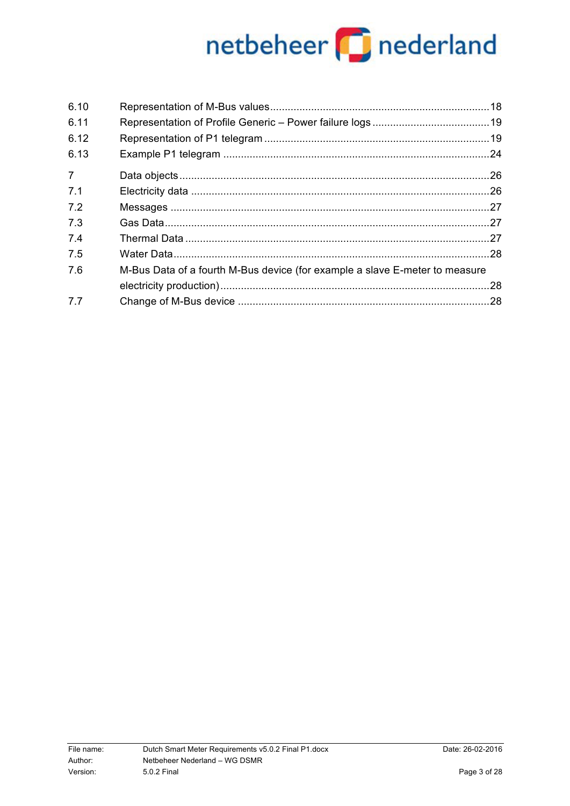| 6.10           |                                                                             |  |
|----------------|-----------------------------------------------------------------------------|--|
| 6.11           |                                                                             |  |
| 6.12           |                                                                             |  |
| 6.13           |                                                                             |  |
| $\overline{7}$ |                                                                             |  |
| 7.1            |                                                                             |  |
| 7.2            |                                                                             |  |
| 7.3            |                                                                             |  |
| 7.4            |                                                                             |  |
| 7.5            |                                                                             |  |
| 7.6            | M-Bus Data of a fourth M-Bus device (for example a slave E-meter to measure |  |
|                |                                                                             |  |
| 7.7            |                                                                             |  |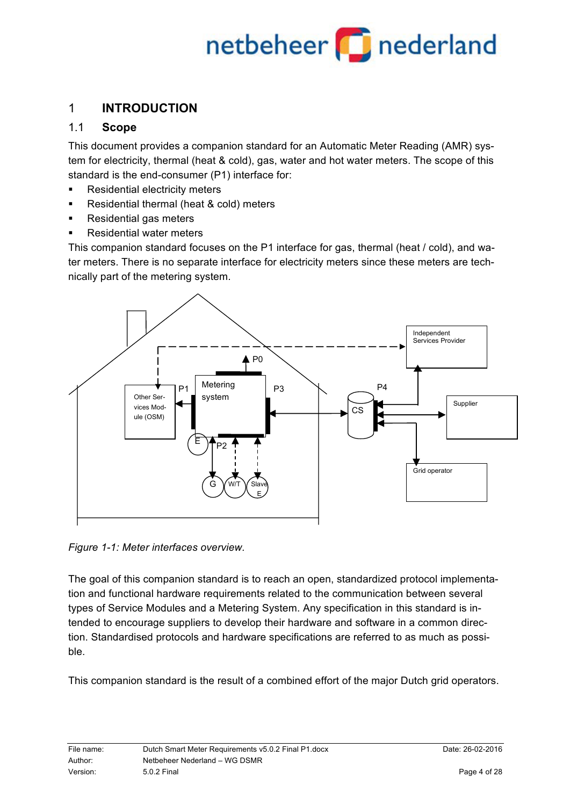### 1 **INTRODUCTION**

### 1.1 **Scope**

This document provides a companion standard for an Automatic Meter Reading (AMR) system for electricity, thermal (heat & cold), gas, water and hot water meters. The scope of this standard is the end-consumer (P1) interface for:

- Residential electricity meters
- Residential thermal (heat & cold) meters
- Residential gas meters
- Residential water meters

This companion standard focuses on the P1 interface for gas, thermal (heat / cold), and water meters. There is no separate interface for electricity meters since these meters are technically part of the metering system.



*Figure 1-1: Meter interfaces overview.*

The goal of this companion standard is to reach an open, standardized protocol implementation and functional hardware requirements related to the communication between several types of Service Modules and a Metering System. Any specification in this standard is intended to encourage suppliers to develop their hardware and software in a common direction. Standardised protocols and hardware specifications are referred to as much as possible.

This companion standard is the result of a combined effort of the major Dutch grid operators.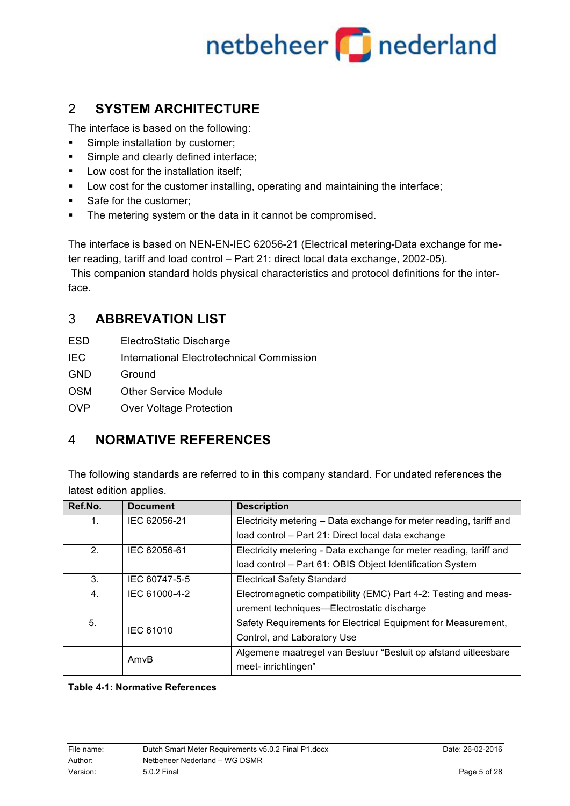## netbeheer **part of a set of the set of the set of the set of the set of the set of the set of the set of the s**

### 2 **SYSTEM ARCHITECTURE**

The interface is based on the following:

- **•** Simple installation by customer;
- Simple and clearly defined interface;
- **■** Low cost for the installation itself;
- Low cost for the customer installing, operating and maintaining the interface;
- Safe for the customer;
- **The metering system or the data in it cannot be compromised.**

The interface is based on NEN-EN-IEC 62056-21 (Electrical metering-Data exchange for meter reading, tariff and load control – Part 21: direct local data exchange, 2002-05).

This companion standard holds physical characteristics and protocol definitions for the interface.

### 3 **ABBREVATION LIST**

- ESD ElectroStatic Discharge
- IEC International Electrotechnical Commission
- **GND** Ground
- OSM Other Service Module
- OVP Over Voltage Protection

### 4 **NORMATIVE REFERENCES**

The following standards are referred to in this company standard. For undated references the latest edition applies.

| Ref.No. | <b>Document</b>  | <b>Description</b>                                                 |
|---------|------------------|--------------------------------------------------------------------|
| 1.      | IEC 62056-21     | Electricity metering - Data exchange for meter reading, tariff and |
|         |                  | load control - Part 21: Direct local data exchange                 |
| 2.      | IEC 62056-61     | Electricity metering - Data exchange for meter reading, tariff and |
|         |                  | load control - Part 61: OBIS Object Identification System          |
| 3.      | IEC 60747-5-5    | <b>Electrical Safety Standard</b>                                  |
| 4.      | IEC 61000-4-2    | Electromagnetic compatibility (EMC) Part 4-2: Testing and meas-    |
|         |                  | urement techniques—Electrostatic discharge                         |
| 5.      | <b>IEC 61010</b> | Safety Requirements for Electrical Equipment for Measurement,      |
|         |                  | Control, and Laboratory Use                                        |
|         | AmvB             | Algemene maatregel van Bestuur "Besluit op afstand uitleesbare     |
|         |                  | meet- inrichtingen"                                                |

**Table 4-1: Normative References**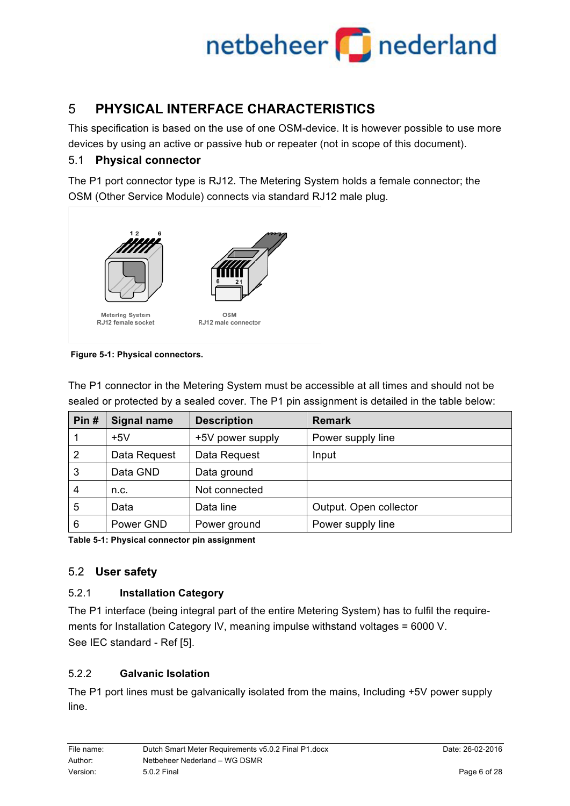### 5 **PHYSICAL INTERFACE CHARACTERISTICS**

This specification is based on the use of one OSM-device. It is however possible to use more devices by using an active or passive hub or repeater (not in scope of this document).

### 5.1 **Physical connector**

The P1 port connector type is RJ12. The Metering System holds a female connector; the OSM (Other Service Module) connects via standard RJ12 male plug.



**Figure 5-1: Physical connectors.**

| Pin# | <b>Signal name</b> | <b>Description</b> | <b>Remark</b>          |
|------|--------------------|--------------------|------------------------|
|      | $+5V$              | +5V power supply   | Power supply line      |
| 2    | Data Request       | Data Request       | Input                  |
| 3    | Data GND           | Data ground        |                        |
| 4    | n.c.               | Not connected      |                        |
| 5    | Data               | Data line          | Output. Open collector |
| 6    | Power GND          | Power ground       | Power supply line      |

The P1 connector in the Metering System must be accessible at all times and should not be sealed or protected by a sealed cover. The P1 pin assignment is detailed in the table below:

**Table 5-1: Physical connector pin assignment**

### 5.2 **User safety**

### 5.2.1 **Installation Category**

The P1 interface (being integral part of the entire Metering System) has to fulfil the requirements for Installation Category IV, meaning impulse withstand voltages = 6000 V. See IEC standard - Ref [5].

### 5.2.2 **Galvanic Isolation**

The P1 port lines must be galvanically isolated from the mains, Including +5V power supply line.

| File name: | Dutch Smart Meter Requirements v5.0.2 Final P1.docx | Date: 26-02-2016 |
|------------|-----------------------------------------------------|------------------|
| Author:    | Netbeheer Nederland - WG DSMR                       |                  |
| Version:   | 5.0.2 Final                                         | Page 6 of 28     |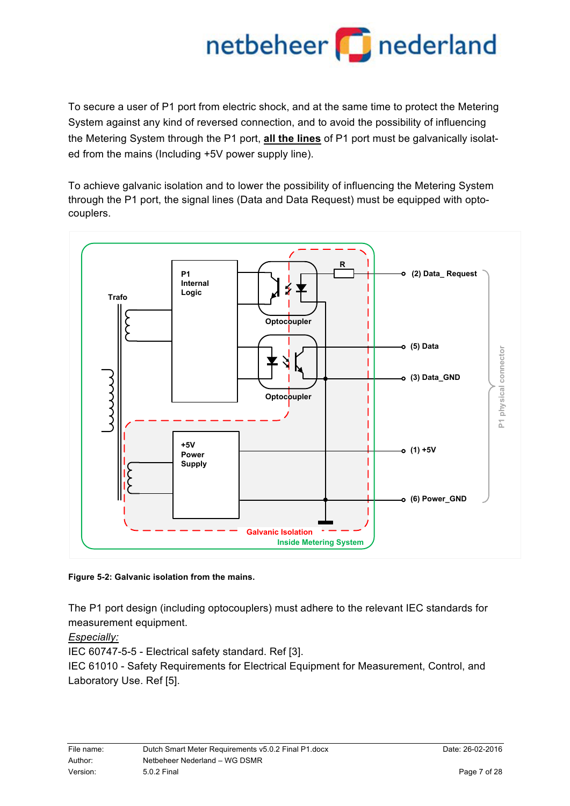To secure a user of P1 port from electric shock, and at the same time to protect the Metering System against any kind of reversed connection, and to avoid the possibility of influencing the Metering System through the P1 port, **all the lines** of P1 port must be galvanically isolated from the mains (Including +5V power supply line).

To achieve galvanic isolation and to lower the possibility of influencing the Metering System through the P1 port, the signal lines (Data and Data Request) must be equipped with optocouplers.





The P1 port design (including optocouplers) must adhere to the relevant IEC standards for measurement equipment.

*Especially:*

IEC 60747-5-5 - Electrical safety standard. Ref [3].

IEC 61010 - Safety Requirements for Electrical Equipment for Measurement, Control, and Laboratory Use. Ref [5].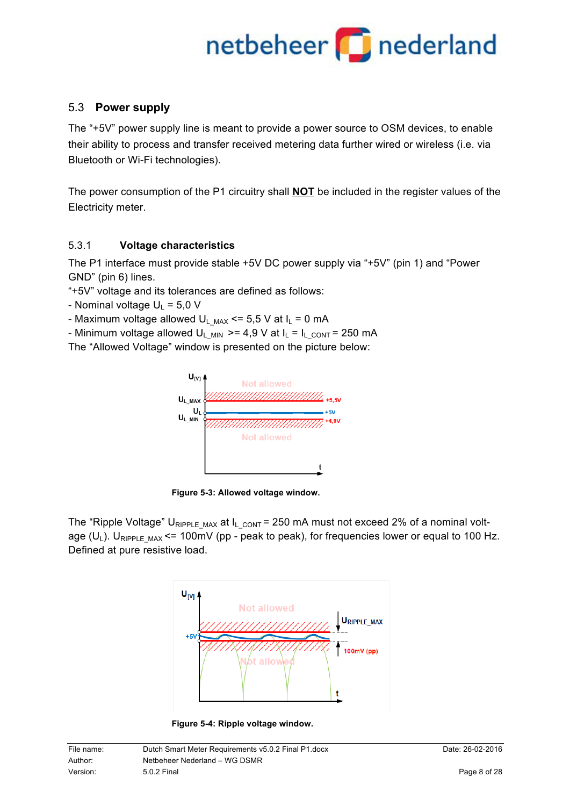### 5.3 **Power supply**

The "+5V" power supply line is meant to provide a power source to OSM devices, to enable their ability to process and transfer received metering data further wired or wireless (i.e. via Bluetooth or Wi-Fi technologies).

The power consumption of the P1 circuitry shall **NOT** be included in the register values of the Electricity meter.

### 5.3.1 **Voltage characteristics**

The P1 interface must provide stable +5V DC power supply via "+5V" (pin 1) and "Power GND" (pin 6) lines.

"+5V" voltage and its tolerances are defined as follows:

- Nominal voltage  $U_L = 5.0 V$
- Maximum voltage allowed  $U_L$ <sub>MAX</sub> <= 5,5 V at  $I_L$  = 0 mA

- Minimum voltage allowed U<sub>L MIN</sub>  $>= 4.9$  V at  $I_L = I_L_{CONT} = 250$  mA

The "Allowed Voltage" window is presented on the picture below:



**Figure 5-3: Allowed voltage window.**

The "Ripple Voltage" U<sub>RIPPLE MAX</sub> at I<sub>L CONT</sub> = 250 mA must not exceed 2% of a nominal voltage ( $U_L$ ). U<sub>RIPPLE MAX</sub> <= 100mV (pp - peak to peak), for frequencies lower or equal to 100 Hz. Defined at pure resistive load.



**Figure 5-4: Ripple voltage window.**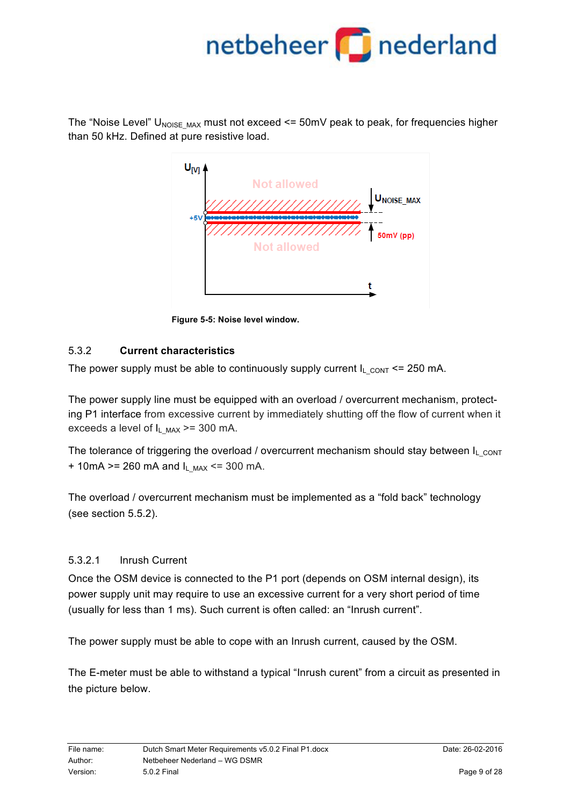The "Noise Level"  $U_{\text{NOISE MAX}}$  must not exceed <= 50mV peak to peak, for frequencies higher than 50 kHz. Defined at pure resistive load.



**Figure 5-5: Noise level window.**

### 5.3.2 **Current characteristics**

The power supply must be able to continuously supply current  $I_L_{CONT} \le 250$  mA.

The power supply line must be equipped with an overload / overcurrent mechanism, protecting P1 interface from excessive current by immediately shutting off the flow of current when it exceeds a level of  $I_L$ <sub>MAX</sub> >= 300 mA.

The tolerance of triggering the overload / overcurrent mechanism should stay between  $I_L_{CONT}$ + 10mA >= 260 mA and  $I_{L,MAX}$  <= 300 mA.

The overload / overcurrent mechanism must be implemented as a "fold back" technology (see section 5.5.2).

### 5.3.2.1 Inrush Current

Once the OSM device is connected to the P1 port (depends on OSM internal design), its power supply unit may require to use an excessive current for a very short period of time (usually for less than 1 ms). Such current is often called: an "Inrush current".

The power supply must be able to cope with an Inrush current, caused by the OSM.

The E-meter must be able to withstand a typical "Inrush curent" from a circuit as presented in the picture below.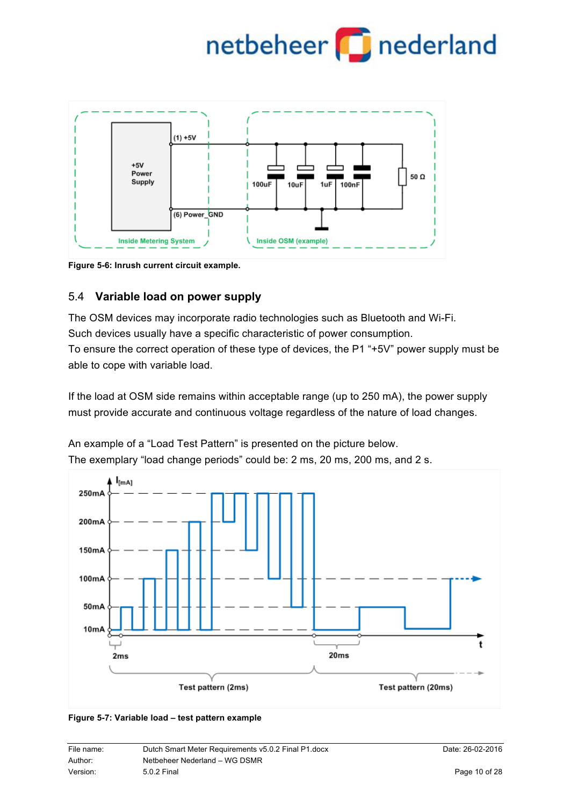

**Figure 5-6: Inrush current circuit example.**

### 5.4 **Variable load on power supply**

The OSM devices may incorporate radio technologies such as Bluetooth and Wi-Fi. Such devices usually have a specific characteristic of power consumption. To ensure the correct operation of these type of devices, the P1 "+5V" power supply must be able to cope with variable load.

If the load at OSM side remains within acceptable range (up to 250 mA), the power supply must provide accurate and continuous voltage regardless of the nature of load changes.

An example of a "Load Test Pattern" is presented on the picture below. The exemplary "load change periods" could be: 2 ms, 20 ms, 200 ms, and 2 s.





| File name: | Dutch Smart Meter Requirements v5.0.2 Final P1.docx | Date: 26-02-2016 |
|------------|-----------------------------------------------------|------------------|
| Author:    | Netbeheer Nederland - WG DSMR                       |                  |
| Version:   | 5.0.2 Final                                         | Page 10 of 28    |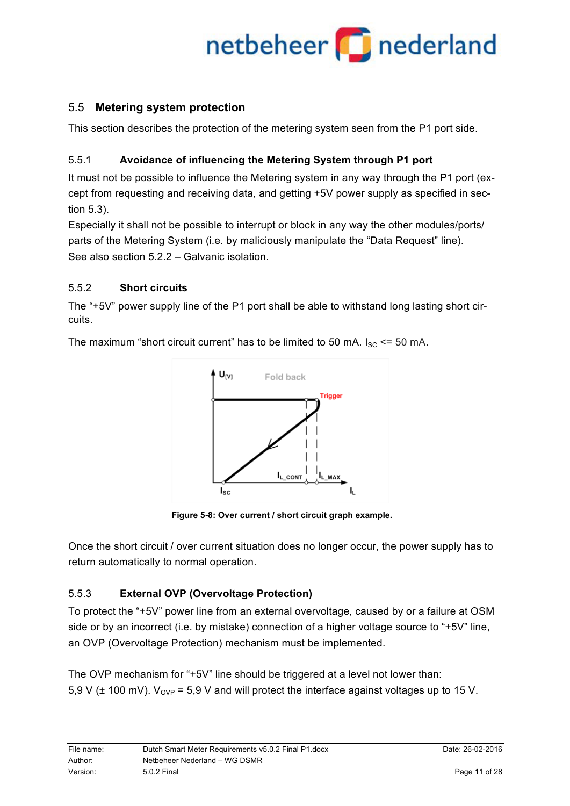### 5.5 **Metering system protection**

This section describes the protection of the metering system seen from the P1 port side.

### 5.5.1 **Avoidance of influencing the Metering System through P1 port**

It must not be possible to influence the Metering system in any way through the P1 port (except from requesting and receiving data, and getting +5V power supply as specified in section 5.3).

Especially it shall not be possible to interrupt or block in any way the other modules/ports/ parts of the Metering System (i.e. by maliciously manipulate the "Data Request" line). See also section 5.2.2 – Galvanic isolation.

### 5.5.2 **Short circuits**

The "+5V" power supply line of the P1 port shall be able to withstand long lasting short circuits.

> $U_{[V]}$ Fold back Triager I<sub>L\_CONT</sub>  $I_{L$ MAX  $\mathsf{I}_{\mathsf{SC}}$

The maximum "short circuit current" has to be limited to 50 mA.  $I_{SC}$  <= 50 mA.

**Figure 5-8: Over current / short circuit graph example.**

Once the short circuit / over current situation does no longer occur, the power supply has to return automatically to normal operation.

### 5.5.3 **External OVP (Overvoltage Protection)**

To protect the "+5V" power line from an external overvoltage, caused by or a failure at OSM side or by an incorrect (i.e. by mistake) connection of a higher voltage source to "+5V" line, an OVP (Overvoltage Protection) mechanism must be implemented.

The OVP mechanism for "+5V" line should be triggered at a level not lower than: 5,9 V ( $\pm$  100 mV). V<sub>OVP</sub> = 5,9 V and will protect the interface against voltages up to 15 V.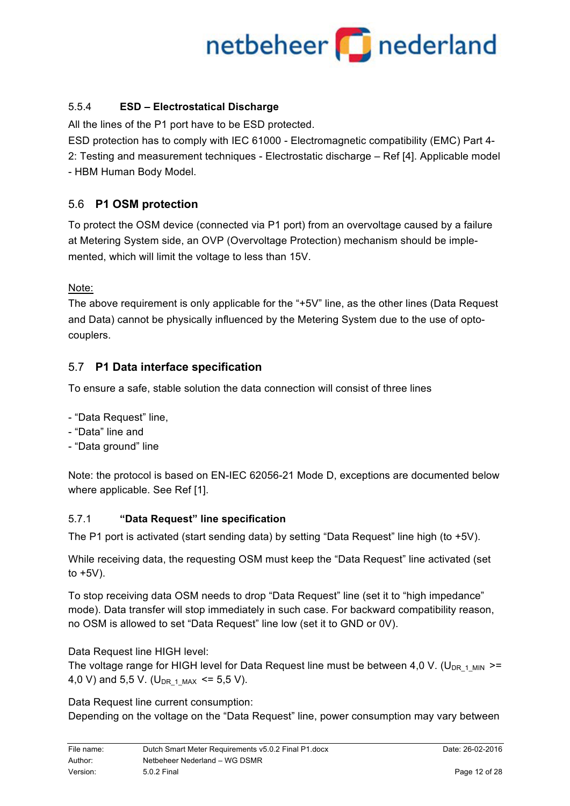### 5.5.4 **ESD – Electrostatical Discharge**

All the lines of the P1 port have to be ESD protected.

ESD protection has to comply with IEC 61000 - Electromagnetic compatibility (EMC) Part 4- 2: Testing and measurement techniques - Electrostatic discharge – Ref [4]. Applicable model - HBM Human Body Model.

### 5.6 **P1 OSM protection**

To protect the OSM device (connected via P1 port) from an overvoltage caused by a failure at Metering System side, an OVP (Overvoltage Protection) mechanism should be implemented, which will limit the voltage to less than 15V.

Note:

The above requirement is only applicable for the "+5V" line, as the other lines (Data Request and Data) cannot be physically influenced by the Metering System due to the use of optocouplers.

### 5.7 **P1 Data interface specification**

To ensure a safe, stable solution the data connection will consist of three lines

- "Data Request" line,
- "Data" line and
- "Data ground" line

Note: the protocol is based on EN-IEC 62056-21 Mode D, exceptions are documented below where applicable. See Ref [1].

### 5.7.1 **"Data Request" line specification**

The P1 port is activated (start sending data) by setting "Data Request" line high (to +5V).

While receiving data, the requesting OSM must keep the "Data Request" line activated (set to  $+5V$ ).

To stop receiving data OSM needs to drop "Data Request" line (set it to "high impedance" mode). Data transfer will stop immediately in such case. For backward compatibility reason, no OSM is allowed to set "Data Request" line low (set it to GND or 0V).

Data Request line HIGH level:

The voltage range for HIGH level for Data Request line must be between 4.0 V. (U<sub>DR 1</sub> MIN  $>=$ 4,0 V) and 5,5 V. (U<sub>DR 1 MAX</sub>  $\le$  5,5 V).

Data Request line current consumption:

Depending on the voltage on the "Data Request" line, power consumption may vary between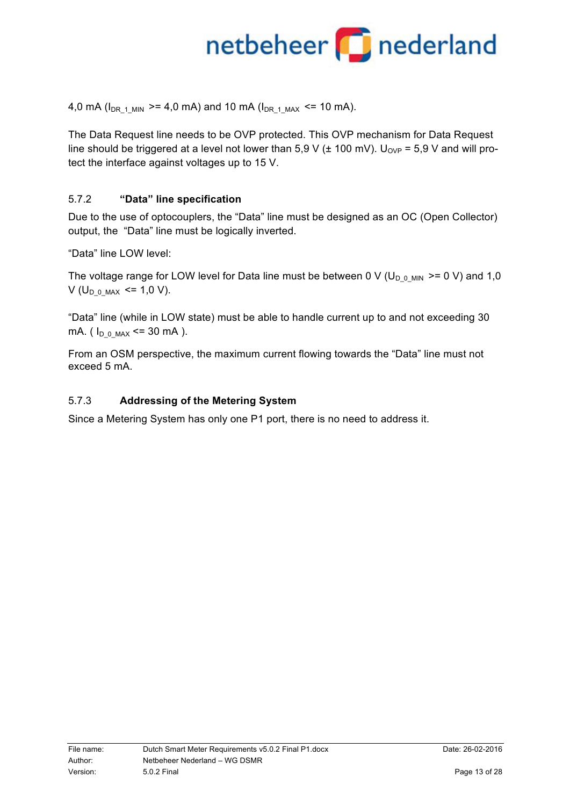4,0 mA ( $I_{DR-1~MIN}$  >= 4,0 mA) and 10 mA ( $I_{DR-1~MAX}$  <= 10 mA).

The Data Request line needs to be OVP protected. This OVP mechanism for Data Request line should be triggered at a level not lower than 5,9 V ( $\pm$  100 mV). U<sub>OVP</sub> = 5,9 V and will protect the interface against voltages up to 15 V.

### 5.7.2 **"Data" line specification**

Due to the use of optocouplers, the "Data" line must be designed as an OC (Open Collector) output, the "Data" line must be logically inverted.

"Data" line LOW level:

The voltage range for LOW level for Data line must be between 0 V ( $U_{D_0 MIN}$  >= 0 V) and 1,0 V ( $U_{\text{D}0\text{ MAX}}$  <= 1,0 V).

"Data" line (while in LOW state) must be able to handle current up to and not exceeding 30 mA. ( $I_{D_0 MAX}$  <= 30 mA ).

From an OSM perspective, the maximum current flowing towards the "Data" line must not exceed 5 mA.

### 5.7.3 **Addressing of the Metering System**

Since a Metering System has only one P1 port, there is no need to address it.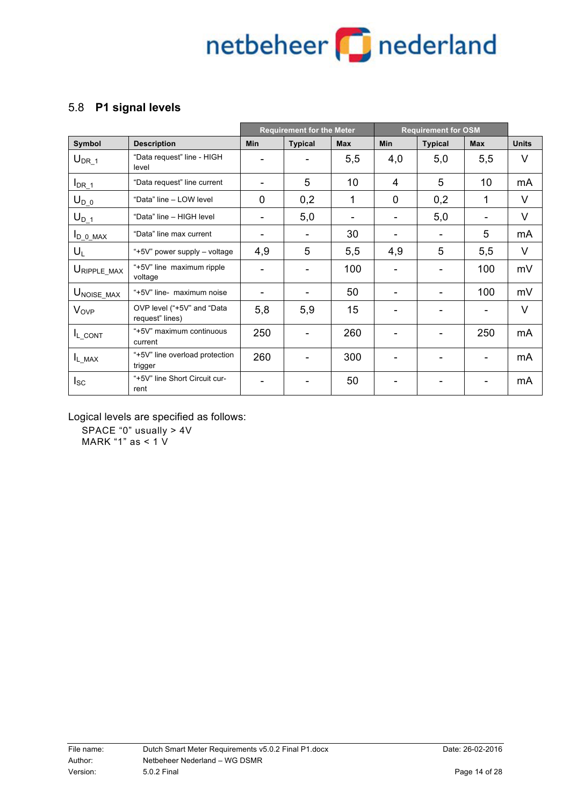### 5.8 **P1 signal levels**

|                         |                                               |            | <b>Requirement for the Meter</b> |            | <b>Requirement for OSM</b> |                |            |              |
|-------------------------|-----------------------------------------------|------------|----------------------------------|------------|----------------------------|----------------|------------|--------------|
| <b>Symbol</b>           | <b>Description</b>                            | <b>Min</b> | <b>Typical</b>                   | <b>Max</b> | <b>Min</b>                 | <b>Typical</b> | <b>Max</b> | <b>Units</b> |
| $U_{DR 1}$              | "Data request" line - HIGH<br>level           |            |                                  | 5,5        | 4,0                        | 5,0            | 5,5        | $\vee$       |
| $I_{DR\_1}$             | "Data request" line current                   |            | 5                                | 10         | 4                          | 5              | 10         | mA           |
| $U_{D_0}$               | "Data" line - LOW level                       | $\Omega$   | 0,2                              | 1          | $\Omega$                   | 0,2            | 1          | $\vee$       |
| $U_D$ <sub>1</sub>      | "Data" line - HIGH level                      |            | 5,0                              |            |                            | 5,0            |            | V            |
| $I_{D_0 \text{MAX}}$    | "Data" line max current                       | ۰          |                                  | 30         |                            |                | 5          | mA           |
| $U_L$                   | "+5V" power supply - voltage                  | 4,9        | 5                                | 5,5        | 4,9                        | 5              | 5,5        | $\vee$       |
| $U_{RIPPLE\_MAX}$       | "+5V" line maximum ripple<br>voltage          |            |                                  | 100        |                            |                | 100        | mV           |
| $U_{\text{NOISE\_MAX}}$ | "+5V" line- maximum noise                     |            |                                  | 50         |                            |                | 100        | mV           |
| V <sub>OVP</sub>        | OVP level ("+5V" and "Data<br>request" lines) | 5,8        | 5,9                              | 15         |                            |                |            | $\vee$       |
| $I_{L_{CONT}}$          | "+5V" maximum continuous<br>current           | 250        |                                  | 260        |                            |                | 250        | mA           |
| $I_{L_MAX}$             | "+5V" line overload protection<br>trigger     | 260        |                                  | 300        |                            |                |            | mA           |
| $I_{SC}$                | "+5V" line Short Circuit cur-<br>rent         |            |                                  | 50         |                            |                |            | mA           |

Logical levels are specified as follows:

SPACE "0" usually > 4V MARK "1" as < 1 V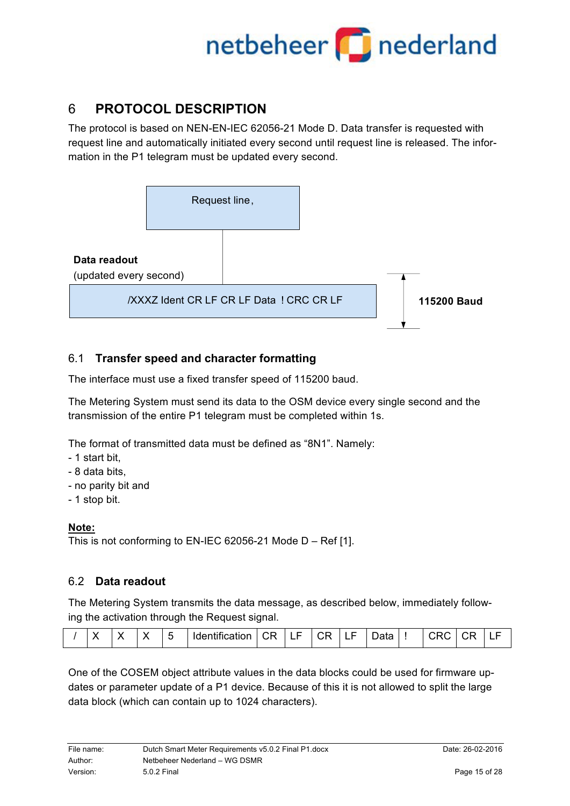### 6 **PROTOCOL DESCRIPTION**

The protocol is based on NEN-EN-IEC 62056-21 Mode D. Data transfer is requested with request line and automatically initiated every second until request line is released. The information in the P1 telegram must be updated every second.



### 6.1 **Transfer speed and character formatting**

The interface must use a fixed transfer speed of 115200 baud.

The Metering System must send its data to the OSM device every single second and the transmission of the entire P1 telegram must be completed within 1s.

The format of transmitted data must be defined as "8N1". Namely:

- 1 start bit,
- 8 data bits,
- no parity bit and
- 1 stop bit.

### **Note:**

This is not conforming to EN-IEC 62056-21 Mode D – Ref [1].

### 6.2 **Data readout**

The Metering System transmits the data message, as described below, immediately following the activation through the Request signal.

| -<br>-<br>.<br>1.4.0.0111.0<br>,,,,<br>----<br>$\sim$<br>-<br>__<br><br>_<br>ັ<br>--<br>_<br>- |  |  |
|------------------------------------------------------------------------------------------------|--|--|
|------------------------------------------------------------------------------------------------|--|--|

One of the COSEM object attribute values in the data blocks could be used for firmware updates or parameter update of a P1 device. Because of this it is not allowed to split the large data block (which can contain up to 1024 characters).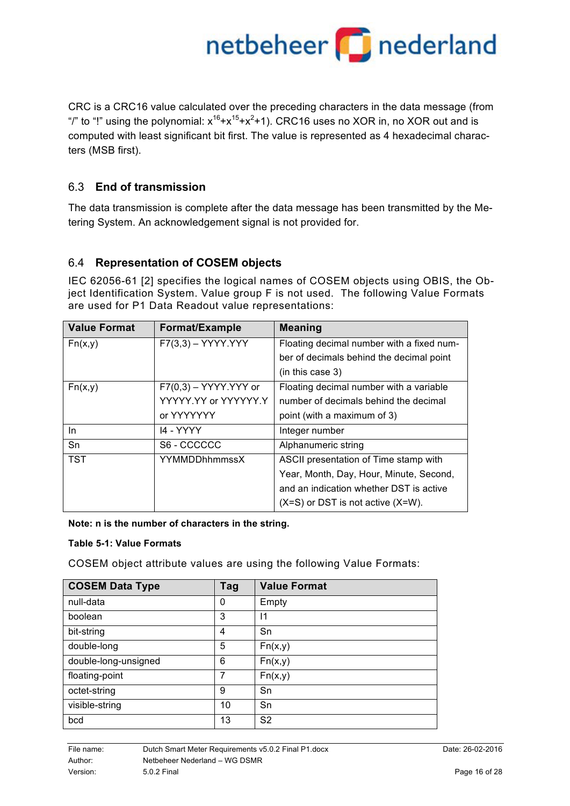### netbeheer **part of a set of the contract of the set of the set of a set of the set of the set of the set of the s**

CRC is a CRC16 value calculated over the preceding characters in the data message (from "/" to "!" using the polynomial:  $x^{16}+x^{15}+x^2+1$ ). CRC16 uses no XOR in, no XOR out and is computed with least significant bit first. The value is represented as 4 hexadecimal characters (MSB first).

### 6.3 **End of transmission**

The data transmission is complete after the data message has been transmitted by the Metering System. An acknowledgement signal is not provided for.

### 6.4 **Representation of COSEM objects**

IEC 62056-61 [2] specifies the logical names of COSEM objects using OBIS, the Object Identification System. Value group F is not used. The following Value Formats are used for P1 Data Readout value representations:

| <b>Value Format</b> | Format/Example          | <b>Meaning</b>                            |
|---------------------|-------------------------|-------------------------------------------|
| Fn(x,y)             | $F7(3,3) - YYYY.YYY$    | Floating decimal number with a fixed num- |
|                     |                         | ber of decimals behind the decimal point  |
|                     |                         | (in this case 3)                          |
| Fn(x,y)             | $F7(0,3) - YYYY.YYY$ or | Floating decimal number with a variable   |
|                     | YYYYY.YY or YYYYYY.Y    | number of decimals behind the decimal     |
|                     | or YYYYYYY              | point (with a maximum of 3)               |
| In.                 | 14 - YYYY               | Integer number                            |
| Sn                  | S6 - CCCCCC             | Alphanumeric string                       |
| <b>TST</b>          | <b>YYMMDDhhmmssX</b>    | ASCII presentation of Time stamp with     |
|                     |                         | Year, Month, Day, Hour, Minute, Second,   |
|                     |                         | and an indication whether DST is active   |
|                     |                         | $(X=S)$ or DST is not active $(X=W)$ .    |

#### **Note: n is the number of characters in the string.**

#### **Table 5-1: Value Formats**

COSEM object attribute values are using the following Value Formats:

| <b>COSEM Data Type</b> | Tag | <b>Value Format</b> |
|------------------------|-----|---------------------|
| null-data              | 0   | Empty               |
| boolean                | 3   | $\mathsf{I}$        |
| bit-string             | 4   | Sn                  |
| double-long            | 5   | Fn(x,y)             |
| double-long-unsigned   | 6   | Fn(x,y)             |
| floating-point         | 7   | Fn(x,y)             |
| octet-string           | 9   | Sn                  |
| visible-string         | 10  | Sn                  |
| bcd                    | 13  | S <sub>2</sub>      |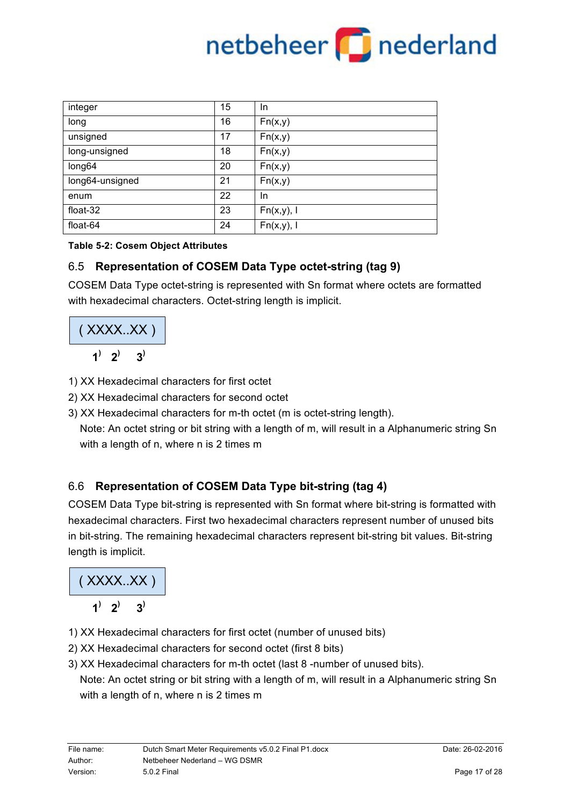

| integer         | 15 | In.           |
|-----------------|----|---------------|
| long            | 16 | Fn(x,y)       |
| unsigned        | 17 | Fn(x,y)       |
| long-unsigned   | 18 | Fn(x,y)       |
| long64          | 20 | Fn(x,y)       |
| long64-unsigned | 21 | Fn(x,y)       |
| enum            | 22 | In.           |
| float-32        | 23 | $Fn(x,y)$ , I |
| float-64        | 24 | $Fn(x,y)$ , I |

### **Table 5-2: Cosem Object Attributes**

### 6.5 **Representation of COSEM Data Type octet-string (tag 9)**

COSEM Data Type octet-string is represented with Sn format where octets are formatted with hexadecimal characters. Octet-string length is implicit.

$$
\frac{(XXXX,XX) \cdot (1 \cdot 2) \cdot 3}
$$

- 1) XX Hexadecimal characters for first octet
- 2) XX Hexadecimal characters for second octet
- 3) XX Hexadecimal characters for m-th octet (m is octet-string length).

 Note: An octet string or bit string with a length of m, will result in a Alphanumeric string Sn with a length of n, where n is 2 times m

### 6.6 **Representation of COSEM Data Type bit-string (tag 4)**

COSEM Data Type bit-string is represented with Sn format where bit-string is formatted with hexadecimal characters. First two hexadecimal characters represent number of unused bits in bit-string. The remaining hexadecimal characters represent bit-string bit values. Bit-string length is implicit.

( XXXX..XX )

- $1^{\prime}$   $2^{\prime}$   $3^{\prime}$
- 1) XX Hexadecimal characters for first octet (number of unused bits)
- 2) XX Hexadecimal characters for second octet (first 8 bits)
- 3) XX Hexadecimal characters for m-th octet (last 8 -number of unused bits).

 Note: An octet string or bit string with a length of m, will result in a Alphanumeric string Sn with a length of n, where n is 2 times m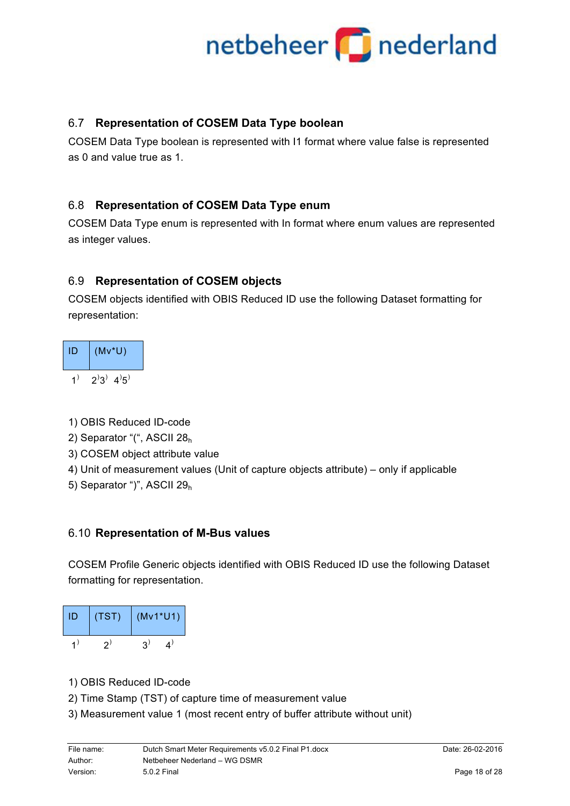### 6.7 **Representation of COSEM Data Type boolean**

COSEM Data Type boolean is represented with I1 format where value false is represented as 0 and value true as 1.

### 6.8 **Representation of COSEM Data Type enum**

COSEM Data Type enum is represented with In format where enum values are represented as integer values.

### 6.9 **Representation of COSEM objects**

COSEM objects identified with OBIS Reduced ID use the following Dataset formatting for representation:

| ID | $(Mv^*U)$              |
|----|------------------------|
| 1  | $2^{3}$ 4 <sup>3</sup> |

1) OBIS Reduced ID-code

- 2) Separator "(", ASCII 28h
- 3) COSEM object attribute value
- 4) Unit of measurement values (Unit of capture objects attribute) only if applicable
- 5) Separator ")", ASCII 29h

### 6.10 **Representation of M-Bus values**

COSEM Profile Generic objects identified with OBIS Reduced ID use the following Dataset formatting for representation.

| ID | (TST) | $(Mv1*U1)$ |
|----|-------|------------|
|    |       |            |

- 1) OBIS Reduced ID-code
- 2) Time Stamp (TST) of capture time of measurement value
- 3) Measurement value 1 (most recent entry of buffer attribute without unit)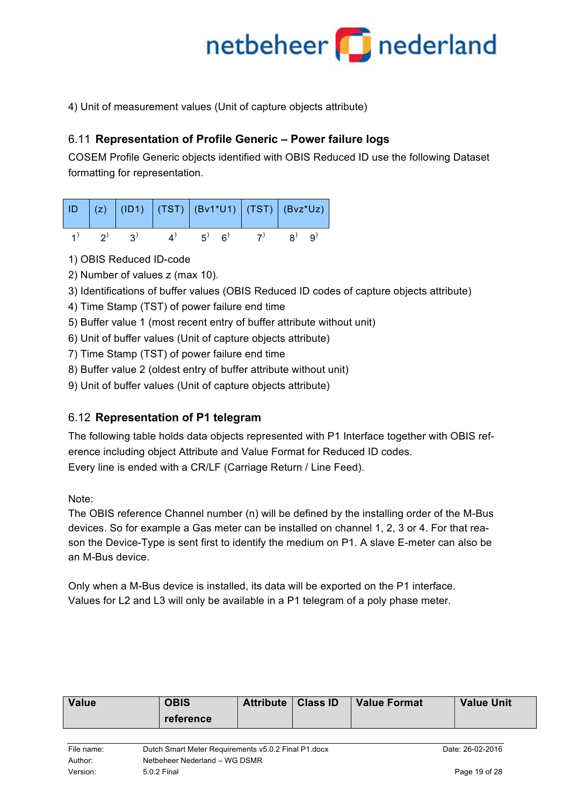4) Unit of measurement values (Unit of capture objects attribute)

### 6.11 **Representation of Profile Generic – Power failure logs**

COSEM Profile Generic objects identified with OBIS Reduced ID use the following Dataset formatting for representation.

|  |    | ID   (z)   (ID1)   (TST)   (Bv1*U1)   (TST)   (Bvz*Uz) |    |              |
|--|----|--------------------------------------------------------|----|--------------|
|  | 2) | $\cdot$ 6)<br>$5^{\prime}$                             | 7) | $R^{\prime}$ |

- 1) OBIS Reduced ID-code
- 2) Number of values z (max 10).
- 3) Identifications of buffer values (OBIS Reduced ID codes of capture objects attribute)
- 4) Time Stamp (TST) of power failure end time
- 5) Buffer value 1 (most recent entry of buffer attribute without unit)
- 6) Unit of buffer values (Unit of capture objects attribute)
- 7) Time Stamp (TST) of power failure end time
- 8) Buffer value 2 (oldest entry of buffer attribute without unit)
- 9) Unit of buffer values (Unit of capture objects attribute)

### 6.12 **Representation of P1 telegram**

The following table holds data objects represented with P1 Interface together with OBIS reference including object Attribute and Value Format for Reduced ID codes. Every line is ended with a CR/LF (Carriage Return / Line Feed).

### Note:

The OBIS reference Channel number (n) will be defined by the installing order of the M-Bus devices. So for example a Gas meter can be installed on channel 1, 2, 3 or 4. For that reason the Device-Type is sent first to identify the medium on P1. A slave E-meter can also be an M-Bus device.

Only when a M-Bus device is installed, its data will be exported on the P1 interface. Values for L2 and L3 will only be available in a P1 telegram of a poly phase meter.

| <b>Value</b>                                                                                                  | <b>OBIS</b><br>reference | <b>Attribute</b> | <b>Class ID</b> | <b>Value Format</b> | <b>Value Unit</b> |
|---------------------------------------------------------------------------------------------------------------|--------------------------|------------------|-----------------|---------------------|-------------------|
| Dutch Smart Meter Requirements v5.0.2 Final P1.docx<br>File name:<br>Netbeheer Nederland - WG DSMR<br>Author: |                          |                  |                 |                     | Date: 26-02-2016  |
| Version:<br>5.0.2 Final                                                                                       |                          |                  | Page 19 of 28   |                     |                   |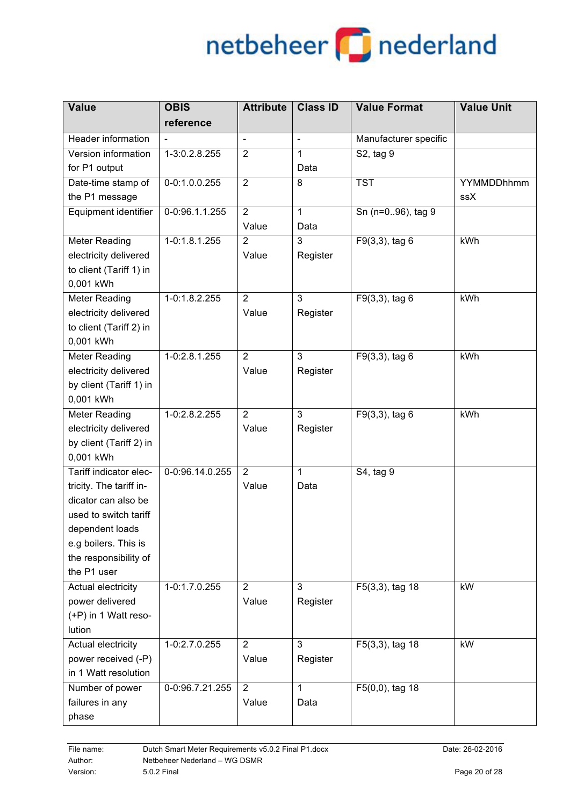| <b>Value</b>            | <b>OBIS</b>     | <b>Attribute</b> | <b>Class ID</b> | <b>Value Format</b>   | <b>Value Unit</b> |
|-------------------------|-----------------|------------------|-----------------|-----------------------|-------------------|
|                         | reference       |                  |                 |                       |                   |
| Header information      |                 | $\blacksquare$   | $\blacksquare$  | Manufacturer specific |                   |
| Version information     | 1-3:0.2.8.255   | $\overline{2}$   | 1               | S2, tag 9             |                   |
| for P1 output           |                 |                  | Data            |                       |                   |
| Date-time stamp of      | 0-0:1.0.0.255   | $\overline{2}$   | 8               | <b>TST</b>            | <b>YYMMDDhhmm</b> |
| the P1 message          |                 |                  |                 |                       | ssX               |
| Equipment identifier    | 0-0:96.1.1.255  | $\overline{2}$   | $\mathbf{1}$    | Sn (n=096), tag 9     |                   |
|                         |                 | Value            | Data            |                       |                   |
| <b>Meter Reading</b>    | $1-0:1.8.1.255$ | $\overline{2}$   | 3               | $F9(3,3)$ , tag 6     | kWh               |
| electricity delivered   |                 | Value            | Register        |                       |                   |
| to client (Tariff 1) in |                 |                  |                 |                       |                   |
| 0,001 kWh               |                 |                  |                 |                       |                   |
| Meter Reading           | 1-0:1.8.2.255   | $\overline{2}$   | 3               | F9(3,3), tag 6        | kWh               |
| electricity delivered   |                 | Value            | Register        |                       |                   |
| to client (Tariff 2) in |                 |                  |                 |                       |                   |
| 0,001 kWh               |                 |                  |                 |                       |                   |
| Meter Reading           | 1-0:2.8.1.255   | $\overline{2}$   | 3               | F9(3,3), tag 6        | kWh               |
| electricity delivered   |                 | Value            | Register        |                       |                   |
| by client (Tariff 1) in |                 |                  |                 |                       |                   |
| 0,001 kWh               |                 |                  |                 |                       |                   |
| Meter Reading           | 1-0:2.8.2.255   | $\overline{2}$   | 3               | F9(3,3), tag 6        | kWh               |
| electricity delivered   |                 | Value            | Register        |                       |                   |
| by client (Tariff 2) in |                 |                  |                 |                       |                   |
| 0,001 kWh               |                 |                  |                 |                       |                   |
| Tariff indicator elec-  | 0-0:96.14.0.255 | $\overline{2}$   | $\mathbf{1}$    | S4, tag 9             |                   |
| tricity. The tariff in- |                 | Value            | Data            |                       |                   |
| dicator can also be     |                 |                  |                 |                       |                   |
| used to switch tariff   |                 |                  |                 |                       |                   |
| dependent loads         |                 |                  |                 |                       |                   |
| e.g boilers. This is    |                 |                  |                 |                       |                   |
| the responsibility of   |                 |                  |                 |                       |                   |
| the P1 user             |                 |                  |                 |                       |                   |
| Actual electricity      | 1-0:1.7.0.255   | $\overline{2}$   | 3               | F5(3,3), tag 18       | kW                |
| power delivered         |                 | Value            | Register        |                       |                   |
| (+P) in 1 Watt reso-    |                 |                  |                 |                       |                   |
| lution                  |                 |                  |                 |                       |                   |
| Actual electricity      | 1-0:2.7.0.255   | $\overline{2}$   | 3               | F5(3,3), tag 18       | kW                |
| power received (-P)     |                 | Value            | Register        |                       |                   |
| in 1 Watt resolution    |                 |                  |                 |                       |                   |
| Number of power         | 0-0:96.7.21.255 | $\overline{2}$   | $\mathbf{1}$    | $F5(0,0)$ , tag 18    |                   |
| failures in any         |                 | Value            | Data            |                       |                   |
| phase                   |                 |                  |                 |                       |                   |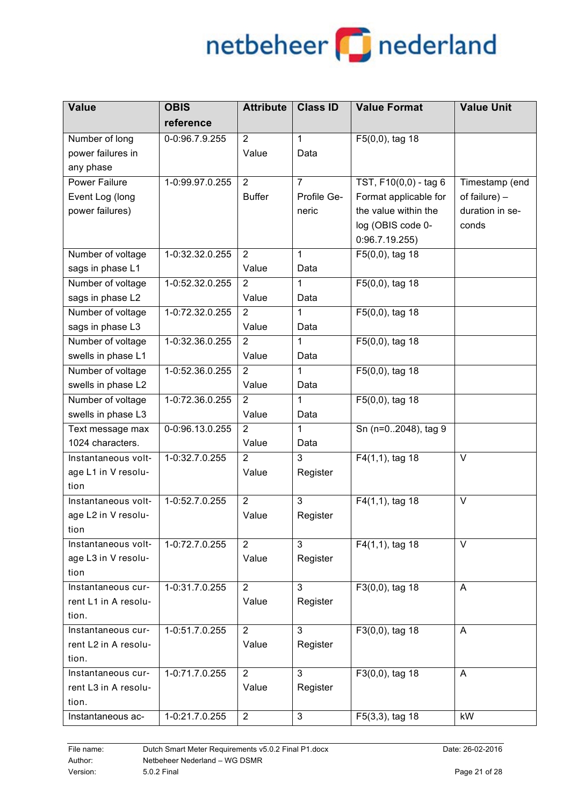| <b>Value</b>         | <b>OBIS</b>     | <b>Attribute</b> | <b>Class ID</b> | <b>Value Format</b>           | <b>Value Unit</b> |
|----------------------|-----------------|------------------|-----------------|-------------------------------|-------------------|
|                      | reference       |                  |                 |                               |                   |
| Number of long       | 0-0:96.7.9.255  | $\overline{2}$   | $\mathbf{1}$    | F5(0,0), tag 18               |                   |
| power failures in    |                 | Value            | Data            |                               |                   |
| any phase            |                 |                  |                 |                               |                   |
| <b>Power Failure</b> | 1-0:99.97.0.255 | $\overline{2}$   | $\overline{7}$  | TST, F10(0,0) - tag 6         | Timestamp (end    |
| Event Log (long      |                 | <b>Buffer</b>    | Profile Ge-     | Format applicable for         | of failure) $-$   |
| power failures)      |                 |                  | neric           | the value within the          | duration in se-   |
|                      |                 |                  |                 | log (OBIS code 0-             | conds             |
|                      |                 |                  |                 | 0:96.7.19.255                 |                   |
| Number of voltage    | 1-0:32.32.0.255 | $\overline{2}$   | $\mathbf{1}$    | $\overline{F5(0,0)}$ , tag 18 |                   |
| sags in phase L1     |                 | Value            | Data            |                               |                   |
| Number of voltage    | 1-0:52.32.0.255 | $\overline{2}$   | 1               | F5(0,0), tag 18               |                   |
| sags in phase L2     |                 | Value            | Data            |                               |                   |
| Number of voltage    | 1-0:72.32.0.255 | $\overline{2}$   | 1               | F5(0,0), tag 18               |                   |
| sags in phase L3     |                 | Value            | Data            |                               |                   |
| Number of voltage    | 1-0:32.36.0.255 | $\overline{2}$   | 1               | F5(0,0), tag 18               |                   |
| swells in phase L1   |                 | Value            | Data            |                               |                   |
| Number of voltage    | 1-0:52.36.0.255 | 2                | 1               | F5(0,0), tag 18               |                   |
| swells in phase L2   |                 | Value            | Data            |                               |                   |
| Number of voltage    | 1-0:72.36.0.255 | 2                | 1               | F5(0,0), tag 18               |                   |
| swells in phase L3   |                 | Value            | Data            |                               |                   |
| Text message max     | 0-0:96.13.0.255 | 2                | 1               | Sn (n=02048), tag 9           |                   |
| 1024 characters.     |                 | Value            | Data            |                               |                   |
| Instantaneous volt-  | 1-0:32.7.0.255  | $\overline{2}$   | 3               | $F4(1,1)$ , tag 18            | $\vee$            |
| age L1 in V resolu-  |                 | Value            | Register        |                               |                   |
| tion                 |                 |                  |                 |                               |                   |
| Instantaneous volt-  | 1-0:52.7.0.255  | $\overline{2}$   | 3               | F4(1,1), tag 18               | $\vee$            |
| age L2 in V resolu-  |                 | Value            | Register        |                               |                   |
| tion                 |                 |                  |                 |                               |                   |
| Instantaneous volt-  | 1-0:72.7.0.255  | $\overline{2}$   | 3               | $F4(1,1)$ , tag 18            | V                 |
| age L3 in V resolu-  |                 | Value            | Register        |                               |                   |
| tion                 |                 |                  |                 |                               |                   |
| Instantaneous cur-   | 1-0:31.7.0.255  | $\overline{2}$   | 3               | F3(0,0), tag 18               | A                 |
| rent L1 in A resolu- |                 | Value            | Register        |                               |                   |
| tion.                |                 |                  |                 |                               |                   |
| Instantaneous cur-   | 1-0:51.7.0.255  | $\overline{2}$   | 3               | $F3(0,0)$ , tag 18            | A                 |
| rent L2 in A resolu- |                 | Value            | Register        |                               |                   |
| tion.                |                 |                  |                 |                               |                   |
| Instantaneous cur-   | 1-0:71.7.0.255  | $\overline{2}$   | 3               | F3(0,0), tag 18               | A                 |
| rent L3 in A resolu- |                 | Value            | Register        |                               |                   |
| tion.                |                 |                  |                 |                               |                   |
| Instantaneous ac-    | 1-0:21.7.0.255  | $\overline{2}$   | 3               | F5(3,3), tag 18               | kW                |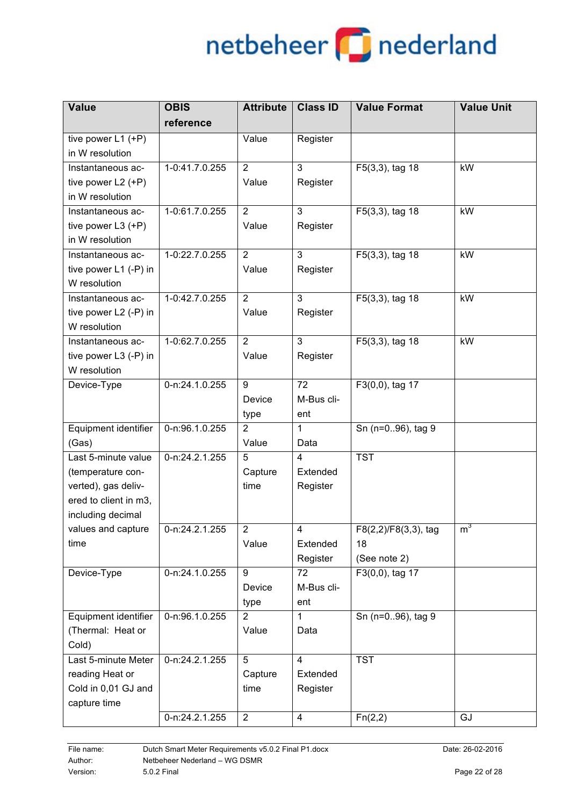| <b>Value</b>          | <b>OBIS</b>    | <b>Attribute</b> | <b>Class ID</b> | <b>Value Format</b>  | <b>Value Unit</b> |
|-----------------------|----------------|------------------|-----------------|----------------------|-------------------|
|                       | reference      |                  |                 |                      |                   |
| tive power L1 (+P)    |                | Value            | Register        |                      |                   |
| in W resolution       |                |                  |                 |                      |                   |
| Instantaneous ac-     | 1-0:41.7.0.255 | $\overline{2}$   | 3               | F5(3,3), tag 18      | kW                |
| tive power $L2 (+P)$  |                | Value            | Register        |                      |                   |
| in W resolution       |                |                  |                 |                      |                   |
| Instantaneous ac-     | 1-0:61.7.0.255 | $\overline{2}$   | 3               | F5(3,3), tag 18      | kW                |
| tive power L3 (+P)    |                | Value            | Register        |                      |                   |
| in W resolution       |                |                  |                 |                      |                   |
| Instantaneous ac-     | 1-0:22.7.0.255 | $\overline{2}$   | 3               | F5(3,3), tag 18      | kW                |
| tive power L1 (-P) in |                | Value            | Register        |                      |                   |
| W resolution          |                |                  |                 |                      |                   |
| Instantaneous ac-     | 1-0:42.7.0.255 | 2                | 3               | F5(3,3), tag 18      | kW                |
| tive power L2 (-P) in |                | Value            | Register        |                      |                   |
| W resolution          |                |                  |                 |                      |                   |
| Instantaneous ac-     | 1-0:62.7.0.255 | $\overline{2}$   | 3               | F5(3,3), tag 18      | kW                |
| tive power L3 (-P) in |                | Value            | Register        |                      |                   |
| W resolution          |                |                  |                 |                      |                   |
| Device-Type           | 0-n:24.1.0.255 | 9                | 72              | F3(0,0), tag 17      |                   |
|                       |                | Device           | M-Bus cli-      |                      |                   |
|                       |                | type             | ent             |                      |                   |
| Equipment identifier  | 0-n:96.1.0.255 | 2                | 1               | Sn (n=096), tag 9    |                   |
| (Gas)                 |                | Value            | Data            |                      |                   |
| Last 5-minute value   | 0-n:24.2.1.255 | 5                | $\overline{4}$  | <b>TST</b>           |                   |
| (temperature con-     |                | Capture          | Extended        |                      |                   |
| verted), gas deliv-   |                | time             | Register        |                      |                   |
| ered to client in m3, |                |                  |                 |                      |                   |
| including decimal     |                |                  |                 |                      |                   |
| values and capture    | 0-n:24.2.1.255 | $\overline{2}$   | 4               | F8(2,2)/F8(3,3), tag | $m^3$             |
| time                  |                | Value            | Extended        | 18                   |                   |
|                       |                |                  | Register        | (See note 2)         |                   |
| Device-Type           | 0-n:24.1.0.255 | 9                | 72              | $F3(0,0)$ , tag 17   |                   |
|                       |                | Device           | M-Bus cli-      |                      |                   |
|                       |                | type             | ent             |                      |                   |
| Equipment identifier  | 0-n:96.1.0.255 | $\overline{2}$   | 1               | Sn (n=096), tag 9    |                   |
| (Thermal: Heat or     |                | Value            | Data            |                      |                   |
| Cold)                 |                |                  |                 |                      |                   |
| Last 5-minute Meter   | 0-n:24.2.1.255 | 5                | $\overline{4}$  | <b>TST</b>           |                   |
| reading Heat or       |                | Capture          | Extended        |                      |                   |
| Cold in 0,01 GJ and   |                | time             | Register        |                      |                   |
| capture time          |                |                  |                 |                      |                   |
|                       | 0-n:24.2.1.255 | $\overline{2}$   | $\overline{4}$  | Fn(2,2)              | GJ                |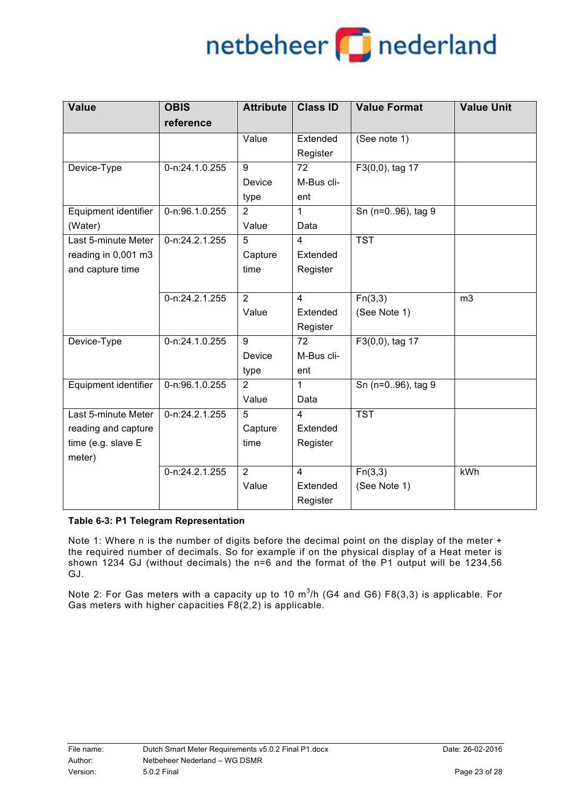## netbeheer **part of a state of the end**

| <b>Value</b>         | <b>OBIS</b>         | <b>Attribute</b> | <b>Class ID</b> | <b>Value Format</b> | <b>Value Unit</b> |
|----------------------|---------------------|------------------|-----------------|---------------------|-------------------|
|                      | reference           |                  |                 |                     |                   |
|                      |                     | Value            | Extended        | (See note 1)        |                   |
|                      |                     |                  | Register        |                     |                   |
| Device-Type          | 0-n:24.1.0.255      | 9                | 72              | F3(0,0), tag 17     |                   |
|                      |                     | Device           | M-Bus cli-      |                     |                   |
|                      |                     | type             | ent             |                     |                   |
| Equipment identifier | 0-n:96.1.0.255      | 2                | 1               | Sn (n=096), tag 9   |                   |
| (Water)              |                     | Value            | Data            |                     |                   |
| Last 5-minute Meter  | $0 - n: 24.2.1.255$ | $\overline{5}$   | $\overline{4}$  | <b>TST</b>          |                   |
| reading in 0,001 m3  |                     | Capture          | Extended        |                     |                   |
| and capture time     |                     | time             | Register        |                     |                   |
|                      |                     |                  |                 |                     |                   |
|                      | 0-n:24.2.1.255      | $\overline{2}$   | $\overline{4}$  | Fn(3,3)             | m <sub>3</sub>    |
|                      |                     | Value            | Extended        | (See Note 1)        |                   |
|                      |                     |                  | Register        |                     |                   |
| Device-Type          | 0-n:24.1.0.255      | 9                | 72              | F3(0,0), tag 17     |                   |
|                      |                     | Device           | M-Bus cli-      |                     |                   |
|                      |                     | type             | ent             |                     |                   |
| Equipment identifier | 0-n:96.1.0.255      | 2                | 1               | Sn (n=096), tag 9   |                   |
|                      |                     | Value            | Data            |                     |                   |
| Last 5-minute Meter  | 0-n:24.2.1.255      | 5                | $\overline{4}$  | <b>TST</b>          |                   |
| reading and capture  |                     | Capture          | Extended        |                     |                   |
| time (e.g. slave E   |                     | time             | Register        |                     |                   |
| meter)               |                     |                  |                 |                     |                   |
|                      | 0-n:24.2.1.255      | $\overline{2}$   | $\overline{4}$  | Fn(3,3)             | kWh               |
|                      |                     | Value            | Extended        | (See Note 1)        |                   |
|                      |                     |                  | Register        |                     |                   |

#### **Table 6-3: P1 Telegram Representation**

Note 1: Where n is the number of digits before the decimal point on the display of the meter + the required number of decimals. So for example if on the physical display of a Heat meter is shown 1234 GJ (without decimals) the n=6 and the format of the P1 output will be 1234,56 GJ.

Note 2: For Gas meters with a capacity up to 10 m<sup>3</sup>/h (G4 and G6) F8(3,3) is applicable. For Gas meters with higher capacities F8(2,2) is applicable.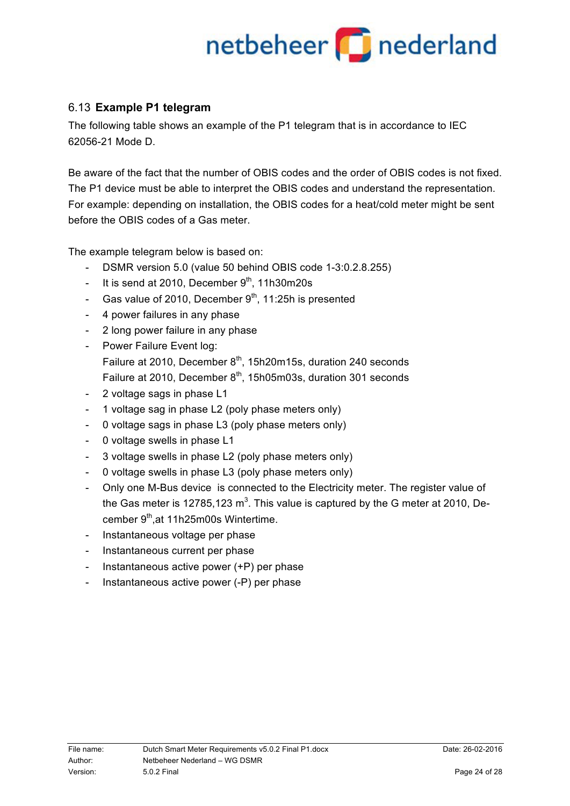### 6.13 **Example P1 telegram**

The following table shows an example of the P1 telegram that is in accordance to IEC 62056-21 Mode D.

Be aware of the fact that the number of OBIS codes and the order of OBIS codes is not fixed. The P1 device must be able to interpret the OBIS codes and understand the representation. For example: depending on installation, the OBIS codes for a heat/cold meter might be sent before the OBIS codes of a Gas meter.

The example telegram below is based on:

- DSMR version 5.0 (value 50 behind OBIS code 1-3:0.2.8.255)
- It is send at 2010, December  $9<sup>th</sup>$ , 11h30m20s
- Gas value of 2010, December  $9<sup>th</sup>$ , 11:25h is presented
- 4 power failures in any phase
- 2 long power failure in any phase
- Power Failure Event log: Failure at 2010, December 8<sup>th</sup>, 15h20m15s, duration 240 seconds Failure at 2010, December  $8<sup>th</sup>$ , 15h05m03s, duration 301 seconds
- 2 voltage sags in phase L1
- 1 voltage sag in phase L2 (poly phase meters only)
- 0 voltage sags in phase L3 (poly phase meters only)
- 0 voltage swells in phase L1
- 3 voltage swells in phase L2 (poly phase meters only)
- 0 voltage swells in phase L3 (poly phase meters only)
- Only one M-Bus device is connected to the Electricity meter. The register value of the Gas meter is 12785,123 m<sup>3</sup>. This value is captured by the G meter at 2010, December 9<sup>th</sup>,at 11h25m00s Wintertime.
- Instantaneous voltage per phase
- Instantaneous current per phase
- Instantaneous active power (+P) per phase
- Instantaneous active power (-P) per phase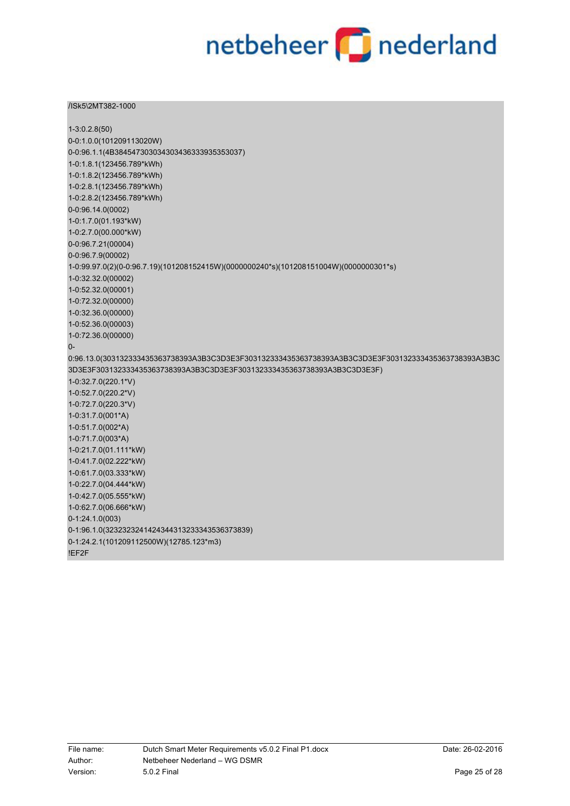#### /ISk5\2MT382-1000

| $1-3:0.2.8(50)$                                                                                      |
|------------------------------------------------------------------------------------------------------|
| 0-0:1.0.0(101209113020W)                                                                             |
| 0-0:96.1.1(4B384547303034303436333935353037)                                                         |
| 1-0:1.8.1(123456.789*kWh)                                                                            |
| 1-0:1.8.2(123456.789*kWh)                                                                            |
| 1-0:2.8.1(123456.789*kWh)                                                                            |
| 1-0:2.8.2(123456.789*kWh)                                                                            |
| 0-0:96.14.0(0002)                                                                                    |
| 1-0:1.7.0(01.193*kW)                                                                                 |
| 1-0:2.7.0(00.000*kW)                                                                                 |
| 0-0:96.7.21(00004)                                                                                   |
| 0-0:96.7.9(00002)                                                                                    |
| 1-0:99.97.0(2)(0-0:96.7.19)(101208152415W)(0000000240*s)(101208151004W)(0000000301*s)                |
| 1-0:32.32.0(00002)                                                                                   |
| 1-0:52.32.0(00001)                                                                                   |
| 1-0:72.32.0(00000)                                                                                   |
| 1-0:32.36.0(00000)                                                                                   |
| 1-0:52.36.0(00003)                                                                                   |
| 1-0:72.36.0(00000)                                                                                   |
| $0-$                                                                                                 |
| 0:96.13.0(303132333435363738393A3B3C3D3E3F303132333435363738393A3B3C3D3E3F303132333435363738393A3B3C |
| 3D3E3F303132333435363738393A3B3C3D3E3F303132333435363738393A3B3C3D3E3F)                              |
| 1-0:32.7.0(220.1*V)                                                                                  |
| 1-0:52.7.0(220.2*V)                                                                                  |
| 1-0:72.7.0(220.3*V)                                                                                  |
| 1-0:31.7.0(001*A)                                                                                    |
| 1-0:51.7.0(002*A)                                                                                    |
| 1-0:71.7.0(003*A)                                                                                    |
| 1-0:21.7.0(01.111*kW)                                                                                |
| 1-0:41.7.0(02.222*kW)                                                                                |
| 1-0:61.7.0(03.333*kW)                                                                                |
| 1-0:22.7.0(04.444*kW)                                                                                |
| 1-0:42.7.0(05.555*kW)                                                                                |
| 1-0:62.7.0(06.666*kW)                                                                                |
| $0-1:24.1.0(003)$                                                                                    |
| 0-1:96.1.0(3232323241424344313233343536373839)                                                       |
|                                                                                                      |
| 0-1:24.2.1(101209112500W)(12785.123*m3)                                                              |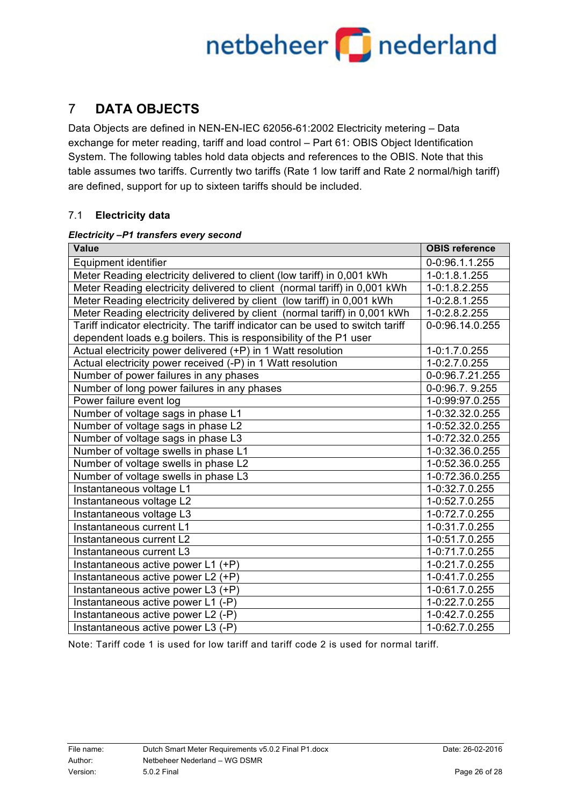## netbeheer **part of a state of the end**

### 7 **DATA OBJECTS**

Data Objects are defined in NEN-EN-IEC 62056-61:2002 Electricity metering – Data exchange for meter reading, tariff and load control – Part 61: OBIS Object Identification System. The following tables hold data objects and references to the OBIS. Note that this table assumes two tariffs. Currently two tariffs (Rate 1 low tariff and Rate 2 normal/high tariff) are defined, support for up to sixteen tariffs should be included.

### 7.1 **Electricity data**

#### *Electricity –P1 transfers every second*

| <b>Value</b>                                                                    | <b>OBIS reference</b> |
|---------------------------------------------------------------------------------|-----------------------|
| Equipment identifier                                                            | 0-0:96.1.1.255        |
| Meter Reading electricity delivered to client (low tariff) in 0,001 kWh         | 1-0:1.8.1.255         |
| Meter Reading electricity delivered to client (normal tariff) in 0,001 kWh      | 1-0:1.8.2.255         |
| Meter Reading electricity delivered by client (low tariff) in 0,001 kWh         | 1-0:2.8.1.255         |
| Meter Reading electricity delivered by client (normal tariff) in 0,001 kWh      | 1-0:2.8.2.255         |
| Tariff indicator electricity. The tariff indicator can be used to switch tariff | 0-0:96.14.0.255       |
| dependent loads e.g boilers. This is responsibility of the P1 user              |                       |
| Actual electricity power delivered (+P) in 1 Watt resolution                    | 1-0:1.7.0.255         |
| Actual electricity power received (-P) in 1 Watt resolution                     | 1-0:2.7.0.255         |
| Number of power failures in any phases                                          | 0-0:96.7.21.255       |
| Number of long power failures in any phases                                     | 0-0:96.7.9.255        |
| Power failure event log                                                         | 1-0:99:97.0.255       |
| Number of voltage sags in phase L1                                              | 1-0:32.32.0.255       |
| Number of voltage sags in phase L2                                              | 1-0:52.32.0.255       |
| Number of voltage sags in phase L3                                              | 1-0:72.32.0.255       |
| Number of voltage swells in phase L1                                            | 1-0:32.36.0.255       |
| Number of voltage swells in phase L2                                            | 1-0:52.36.0.255       |
| Number of voltage swells in phase L3                                            | 1-0:72.36.0.255       |
| Instantaneous voltage L1                                                        | 1-0:32.7.0.255        |
| Instantaneous voltage L2                                                        | 1-0:52.7.0.255        |
| Instantaneous voltage L3                                                        | 1-0:72.7.0.255        |
| Instantaneous current L1                                                        | 1-0:31.7.0.255        |
| Instantaneous current L2                                                        | 1-0:51.7.0.255        |
| Instantaneous current L3                                                        | 1-0:71.7.0.255        |
| Instantaneous active power L1 $\overline{(+P)}$                                 | 1-0:21.7.0.255        |
| Instantaneous active power L2 (+P)                                              | 1-0:41.7.0.255        |
| Instantaneous active power L3 (+P)                                              | 1-0:61.7.0.255        |
| Instantaneous active power L1 (-P)                                              | 1-0:22.7.0.255        |
| Instantaneous active power L2 (-P)                                              | 1-0:42.7.0.255        |
| Instantaneous active power L3 (-P)                                              | 1-0:62.7.0.255        |

Note: Tariff code 1 is used for low tariff and tariff code 2 is used for normal tariff.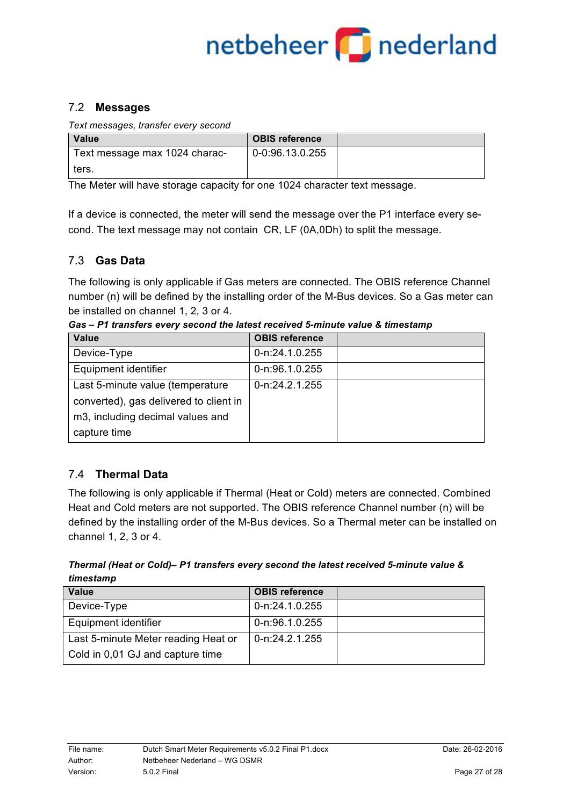## netbeheer **part of a set of the set of the set of the set of the set of the set of the set of the set of the s**

### 7.2 **Messages**

*Text messages, transfer every second*

| Value                         | <b>OBIS reference</b> |  |
|-------------------------------|-----------------------|--|
| Text message max 1024 charac- | 0-0:96.13.0.255       |  |
| ters.                         |                       |  |

The Meter will have storage capacity for one 1024 character text message.

If a device is connected, the meter will send the message over the P1 interface every second. The text message may not contain CR, LF (0A,0Dh) to split the message.

### 7.3 **Gas Data**

The following is only applicable if Gas meters are connected. The OBIS reference Channel number (n) will be defined by the installing order of the M-Bus devices. So a Gas meter can be installed on channel 1, 2, 3 or 4.

| <b>Value</b>                           | <b>OBIS reference</b> |  |
|----------------------------------------|-----------------------|--|
| Device-Type                            | 0-n:24.1.0.255        |  |
| Equipment identifier                   | 0-n:96.1.0.255        |  |
| Last 5-minute value (temperature       | 0-n:24.2.1.255        |  |
| converted), gas delivered to client in |                       |  |
| m3, including decimal values and       |                       |  |
| capture time                           |                       |  |

*Gas – P1 transfers every second the latest received 5-minute value & timestamp*

### 7.4 **Thermal Data**

The following is only applicable if Thermal (Heat or Cold) meters are connected. Combined Heat and Cold meters are not supported. The OBIS reference Channel number (n) will be defined by the installing order of the M-Bus devices. So a Thermal meter can be installed on channel 1, 2, 3 or 4.

*Thermal (Heat or Cold)– P1 transfers every second the latest received 5-minute value & timestamp*

| Value                               | <b>OBIS reference</b> |  |
|-------------------------------------|-----------------------|--|
| Device-Type                         | 0-n:24.1.0.255        |  |
| Equipment identifier                | 0-n:96.1.0.255        |  |
| Last 5-minute Meter reading Heat or | 0-n:24.2.1.255        |  |
| Cold in 0,01 GJ and capture time    |                       |  |